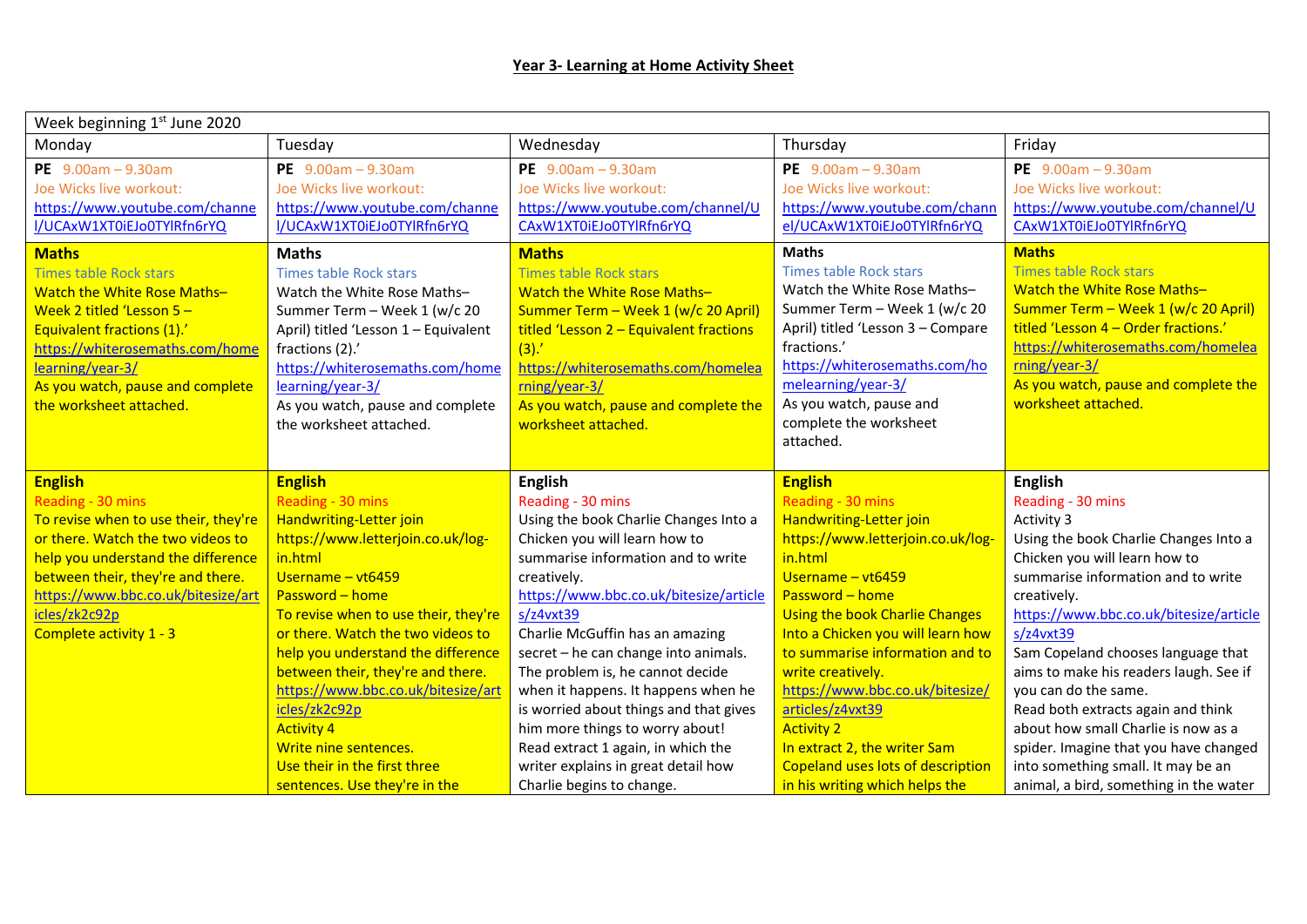| PE $9.00am - 9.30am$<br>Joe Wicks live workout:<br>https://www.youtube.com/channe<br>I/UCAxW1XT0iEJo0TYlRfn6rYQ<br><b>Times table Rock stars</b><br>Watch the White Rose Maths-<br>Summer Term - Week 1 (w/c 20<br>April) titled 'Lesson 1 - Equivalent<br>(3).<br>fractions (2).'<br>https://whiterosemaths.com/home                                                        | Wednesday<br>PE $9.00am - 9.30am$<br>Joe Wicks live workout:<br>https://www.youtube.com/channel/U<br>CAxW1XT0iEJo0TYlRfn6rYQ<br><b>Maths</b><br><b>Times table Rock stars</b><br>Watch the White Rose Maths-<br>Summer Term - Week 1 (w/c 20 April)<br>titled 'Lesson $2$ – Equivalent fractions | Thursday<br>PE $9.00am - 9.30am$<br>Joe Wicks live workout:<br>https://www.youtube.com/chann<br>el/UCAxW1XT0iEJo0TYlRfn6rYQ<br><b>Maths</b><br><b>Times table Rock stars</b><br>Watch the White Rose Maths-<br>Summer Term - Week 1 (w/c 20<br>April) titled 'Lesson 3 - Compare<br>fractions.'                                                                                                                                                                                                                                                                                               | Friday<br>PE $9.00am - 9.30am$<br>Joe Wicks live workout:<br>https://www.youtube.com/channel/U<br>CAxW1XT0iEJo0TYlRfn6rYQ<br><b>Maths</b><br><b>Times table Rock stars</b><br>Watch the White Rose Maths-<br>Summer Term - Week 1 (w/c 20 April)<br>titled 'Lesson 4 - Order fractions.'                                                                                                                                                                                                                                            |
|------------------------------------------------------------------------------------------------------------------------------------------------------------------------------------------------------------------------------------------------------------------------------------------------------------------------------------------------------------------------------|--------------------------------------------------------------------------------------------------------------------------------------------------------------------------------------------------------------------------------------------------------------------------------------------------|-----------------------------------------------------------------------------------------------------------------------------------------------------------------------------------------------------------------------------------------------------------------------------------------------------------------------------------------------------------------------------------------------------------------------------------------------------------------------------------------------------------------------------------------------------------------------------------------------|-------------------------------------------------------------------------------------------------------------------------------------------------------------------------------------------------------------------------------------------------------------------------------------------------------------------------------------------------------------------------------------------------------------------------------------------------------------------------------------------------------------------------------------|
|                                                                                                                                                                                                                                                                                                                                                                              |                                                                                                                                                                                                                                                                                                  |                                                                                                                                                                                                                                                                                                                                                                                                                                                                                                                                                                                               |                                                                                                                                                                                                                                                                                                                                                                                                                                                                                                                                     |
|                                                                                                                                                                                                                                                                                                                                                                              |                                                                                                                                                                                                                                                                                                  |                                                                                                                                                                                                                                                                                                                                                                                                                                                                                                                                                                                               |                                                                                                                                                                                                                                                                                                                                                                                                                                                                                                                                     |
| learning/year-3/                                                                                                                                                                                                                                                                                                                                                             | https://whiterosemaths.com/homelea<br>rning/year-3/                                                                                                                                                                                                                                              | https://whiterosemaths.com/ho<br>melearning/year-3/                                                                                                                                                                                                                                                                                                                                                                                                                                                                                                                                           | https://whiterosemaths.com/homelea<br>rning/year-3/<br>As you watch, pause and complete the                                                                                                                                                                                                                                                                                                                                                                                                                                         |
| As you watch, pause and complete<br>the worksheet attached.                                                                                                                                                                                                                                                                                                                  | As you watch, pause and complete the                                                                                                                                                                                                                                                             | As you watch, pause and<br>complete the worksheet<br>attached.                                                                                                                                                                                                                                                                                                                                                                                                                                                                                                                                | worksheet attached.                                                                                                                                                                                                                                                                                                                                                                                                                                                                                                                 |
|                                                                                                                                                                                                                                                                                                                                                                              |                                                                                                                                                                                                                                                                                                  | <b>English</b>                                                                                                                                                                                                                                                                                                                                                                                                                                                                                                                                                                                | <b>English</b>                                                                                                                                                                                                                                                                                                                                                                                                                                                                                                                      |
| Handwriting-Letter join<br>https://www.letterjoin.co.uk/log-<br>Username - vt6459<br>Password - home<br>To revise when to use their, they're<br>or there. Watch the two videos to<br>help you understand the difference<br>between their, they're and there.<br>https://www.bbc.co.uk/bitesize/art<br>icles/zk2c92p<br>Write nine sentences.<br>Use their in the first three |                                                                                                                                                                                                                                                                                                  | Handwriting-Letter join<br>https://www.letterjoin.co.uk/log-<br>in.html<br>Username $-$ vt6459<br>Password - home<br>Using the book Charlie Changes<br>Into a Chicken you will learn how<br>to summarise information and to<br>write creatively.<br>https://www.bbc.co.uk/bitesize/<br>articles/z4vxt39<br><b>Activity 2</b><br>In extract 2, the writer Sam<br><b>Copeland uses lots of description</b>                                                                                                                                                                                      | Reading - 30 mins<br>Activity 3<br>Using the book Charlie Changes Into a<br>Chicken you will learn how to<br>summarise information and to write<br>creatively.<br>https://www.bbc.co.uk/bitesize/article<br>s/z4vxt39<br>Sam Copeland chooses language that<br>aims to make his readers laugh. See if<br>you can do the same.<br>Read both extracts again and think<br>about how small Charlie is now as a<br>spider. Imagine that you have changed<br>into something small. It may be an<br>animal, a bird, something in the water |
|                                                                                                                                                                                                                                                                                                                                                                              | Reading - 30 mins<br>sentences. Use they're in the                                                                                                                                                                                                                                               | worksheet attached.<br><b>English</b><br>Reading - 30 mins<br>Using the book Charlie Changes Into a<br>Chicken you will learn how to<br>summarise information and to write<br>creatively.<br>https://www.bbc.co.uk/bitesize/article<br>s/z4vxt39<br>Charlie McGuffin has an amazing<br>secret - he can change into animals.<br>The problem is, he cannot decide<br>when it happens. It happens when he<br>is worried about things and that gives<br>him more things to worry about!<br>Read extract 1 again, in which the<br>writer explains in great detail how<br>Charlie begins to change. | Reading - 30 mins<br>in his writing which helps the                                                                                                                                                                                                                                                                                                                                                                                                                                                                                 |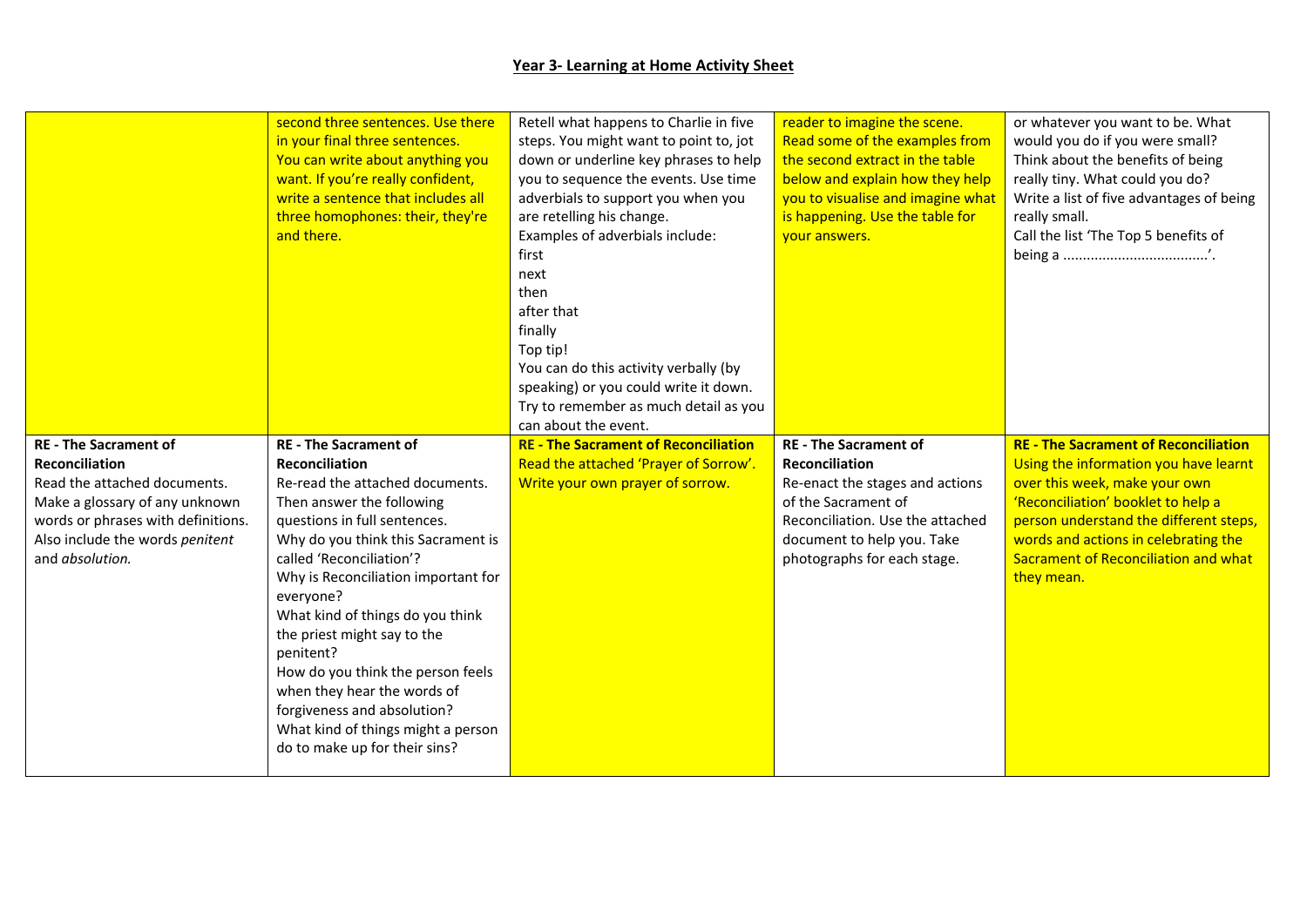## **Year 3- Learning at Home Activity Sheet**

|                                                                                                                                                                                                                     | second three sentences. Use there<br>in your final three sentences.<br>You can write about anything you<br>want. If you're really confident,<br>write a sentence that includes all<br>three homophones: their, they're<br>and there.                                                                                                                                                                                                                                                                                                  | Retell what happens to Charlie in five<br>steps. You might want to point to, jot<br>down or underline key phrases to help<br>you to sequence the events. Use time<br>adverbials to support you when you<br>are retelling his change.<br>Examples of adverbials include:<br>first<br>next<br>then<br>after that<br>finally<br>Top tip!<br>You can do this activity verbally (by<br>speaking) or you could write it down.<br>Try to remember as much detail as you<br>can about the event. | reader to imagine the scene.<br>Read some of the examples from<br>the second extract in the table<br>below and explain how they help<br>you to visualise and imagine what<br>is happening. Use the table for<br>vour answers. | or whatever you want to be. What<br>would you do if you were small?<br>Think about the benefits of being<br>really tiny. What could you do?<br>Write a list of five advantages of being<br>really small.<br>Call the list 'The Top 5 benefits of                                                    |
|---------------------------------------------------------------------------------------------------------------------------------------------------------------------------------------------------------------------|---------------------------------------------------------------------------------------------------------------------------------------------------------------------------------------------------------------------------------------------------------------------------------------------------------------------------------------------------------------------------------------------------------------------------------------------------------------------------------------------------------------------------------------|------------------------------------------------------------------------------------------------------------------------------------------------------------------------------------------------------------------------------------------------------------------------------------------------------------------------------------------------------------------------------------------------------------------------------------------------------------------------------------------|-------------------------------------------------------------------------------------------------------------------------------------------------------------------------------------------------------------------------------|-----------------------------------------------------------------------------------------------------------------------------------------------------------------------------------------------------------------------------------------------------------------------------------------------------|
| <b>RE</b> - The Sacrament of<br><b>Reconciliation</b><br>Read the attached documents.<br>Make a glossary of any unknown<br>words or phrases with definitions.<br>Also include the words penitent<br>and absolution. | <b>RE</b> - The Sacrament of<br><b>Reconciliation</b><br>Re-read the attached documents.<br>Then answer the following<br>questions in full sentences.<br>Why do you think this Sacrament is<br>called 'Reconciliation'?<br>Why is Reconciliation important for<br>everyone?<br>What kind of things do you think<br>the priest might say to the<br>penitent?<br>How do you think the person feels<br>when they hear the words of<br>forgiveness and absolution?<br>What kind of things might a person<br>do to make up for their sins? | <b>RE - The Sacrament of Reconciliation</b><br>Read the attached 'Prayer of Sorrow'.<br>Write your own prayer of sorrow.                                                                                                                                                                                                                                                                                                                                                                 | <b>RE</b> - The Sacrament of<br><b>Reconciliation</b><br>Re-enact the stages and actions<br>of the Sacrament of<br>Reconciliation. Use the attached<br>document to help you. Take<br>photographs for each stage.              | <b>RE - The Sacrament of Reconciliation</b><br>Using the information you have learnt<br>over this week, make your own<br>'Reconciliation' booklet to help a<br>person understand the different steps,<br>words and actions in celebrating the<br>Sacrament of Reconciliation and what<br>they mean. |